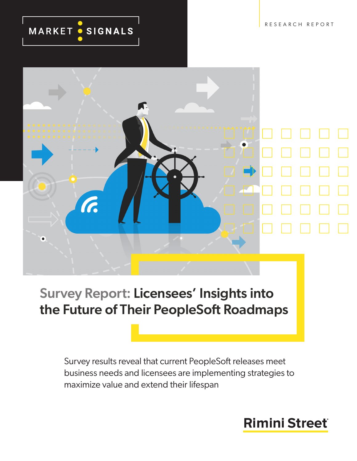RESEARCH REPORT

# MARKET · SIGNALS



# Survey Report: Licensees' Insights into the Future of Their PeopleSoft Roadmaps

Survey results reveal that current PeopleSoft releases meet business needs and licensees are implementing strategies to maximize value and extend their lifespan

# **Rimini Street**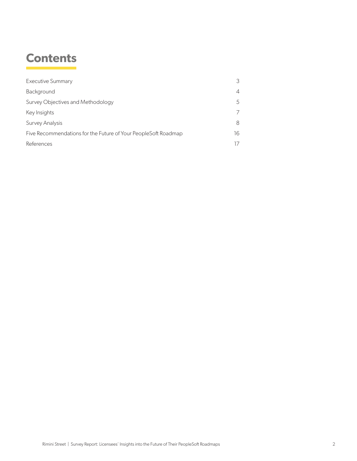### **Contents**

| <b>Executive Summary</b>                                       | 3                        |
|----------------------------------------------------------------|--------------------------|
| Background                                                     | $\overline{\mathcal{A}}$ |
| Survey Objectives and Methodology                              | 5                        |
| Key Insights                                                   |                          |
| Survey Analysis                                                | 8                        |
| Five Recommendations for the Future of Your PeopleSoft Roadmap | 16                       |
| References                                                     |                          |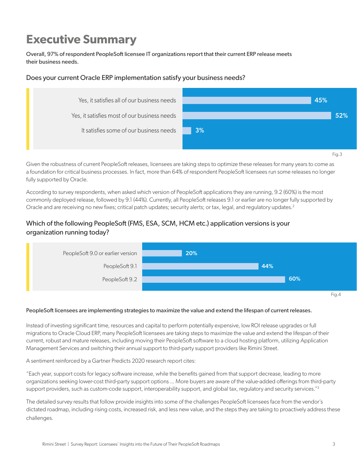# <span id="page-2-0"></span>**Executive Summary**

Overall, 97% of respondent PeopleSoft licensee IT organizations report that their current ERP release meets their business needs.

#### Does your current Oracle ERP implementation satisfy your business needs?



Given the robustness of current PeopleSoft releases, licensees are taking steps to optimize these releases for many years to come as a foundation for critical business processes. In fact, more than 64% of respondent PeopleSoft licensees run some releases no longer fully supported by Oracle.

According to survey respondents, when asked which version of PeopleSoft applications they are running, 9.2 (60%) is the most commonly deployed release, followed by 9.1 (44%). Currently, all PeopleSoft releases 9.1 or earlier are no longer fully supported by Oracle and are receiving no new fixes; critical patch updates; security alerts; or tax, legal, and regulatory updates.<sup>2</sup>

#### Which of the following PeopleSoft (FMS, ESA, SCM, HCM etc.) application versions is your organization running today?



#### PeopleSoft licensees are implementing strategies to maximize the value and extend the lifespan of current releases.

Instead of investing significant time, resources and capital to perform potentially expensive, low ROI release upgrades or full migrations to Oracle Cloud ERP, many PeopleSoft licensees are taking steps to maximize the value and extend the lifespan of their current, robust and mature releases, including moving their PeopleSoft software to a cloud hosting platform, utilizing Application Management Services and switching their annual support to third-party support providers like Rimini Street.

A sentiment reinforced by a Gartner Predicts 2020 research report cites:

"Each year, support costs for legacy software increase, while the benefits gained from that support decrease, leading to more organizations seeking lower-cost third-party support options ... More buyers are aware of the value-added offerings from third-party support providers, such as custom-code support, interoperability support, and global tax, regulatory and security services."3

The detailed survey results that follow provide insights into some of the challenges PeopleSoft licensees face from the vendor's dictated roadmap, including rising costs, increased risk, and less new value, and the steps they are taking to proactively address these challenges.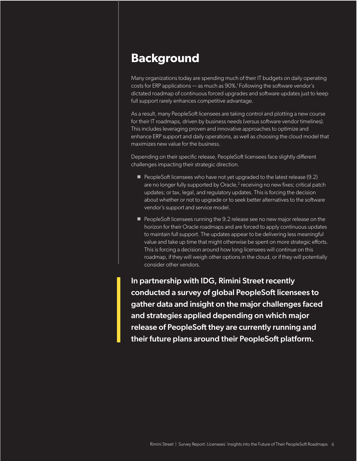### <span id="page-3-0"></span>**Background**

Many organizations today are spending much of their IT budgets on daily operating costs for ERP applications — as much as 90%.1 Following the software vendor's dictated roadmap of continuous forced upgrades and software updates just to keep full support rarely enhances competitive advantage.

As a result, many PeopleSoft licensees are taking control and plotting a new course for their IT roadmaps, driven by business needs (versus software vendor timelines). This includes leveraging proven and innovative approaches to optimize and enhance ERP support and daily operations, as well as choosing the cloud model that maximizes new value for the business.

Depending on their specific release, PeopleSoft licensees face slightly different challenges impacting their strategic direction.

- $\blacksquare$  PeopleSoft licensees who have not yet upgraded to the latest release (9.2) are no longer fully supported by Oracle, $^2$  receiving no new fixes; critical patch updates; or tax, legal, and regulatory updates. This is forcing the decision about whether or not to upgrade or to seek better alternatives to the software vendor's support and service model.
- **PeopleSoft licensees running the 9.2 release see no new major release on the** horizon for their Oracle roadmaps and are forced to apply continuous updates to maintain full support. The updates appear to be delivering less meaningful value and take up time that might otherwise be spent on more strategic efforts. This is forcing a decision around how long licensees will continue on this roadmap, if they will weigh other options in the cloud, or if they will potentially consider other vendors.

In partnership with IDG, Rimini Street recently conducted a survey of global PeopleSoft licensees to gather data and insight on the major challenges faced and strategies applied depending on which major release of PeopleSoft they are currently running and their future plans around their PeopleSoft platform.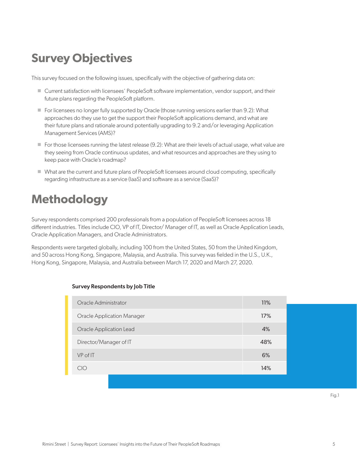### <span id="page-4-0"></span>**Survey Objectives**

This survey focused on the following issues, specifically with the objective of gathering data on:

- Current satisfaction with licensees' PeopleSoft software implementation, vendor support, and their future plans regarding the PeopleSoft platform.
- $\blacksquare$  For licensees no longer fully supported by Oracle (those running versions earlier than 9.2): What approaches do they use to get the support their PeopleSoft applications demand, and what are their future plans and rationale around potentially upgrading to 9.2 and/or leveraging Application Management Services (AMS)?
- $\blacksquare$  For those licensees running the latest release (9.2): What are their levels of actual usage, what value are they seeing from Oracle continuous updates, and what resources and approaches are they using to keep pace with Oracle's roadmap?
- What are the current and future plans of PeopleSoft licensees around cloud computing, specifically regarding infrastructure as a service (IaaS) and software as a service (SaaS)?

# **Methodology**

Survey respondents comprised 200 professionals from a population of PeopleSoft licensees across 18 different industries. Titles include CIO, VP of IT, Director/ Manager of IT, as well as Oracle Application Leads, Oracle Application Managers, and Oracle Administrators.

Respondents were targeted globally, including 100 from the United States, 50 from the United Kingdom, and 50 across Hong Kong, Singapore, Malaysia, and Australia. This survey was fielded in the U.S., U.K., Hong Kong, Singapore, Malaysia, and Australia between March 17, 2020 and March 27, 2020.

| Oracle Administrator              | 11% |
|-----------------------------------|-----|
| <b>Oracle Application Manager</b> | 17% |
| Oracle Application Lead           | 4%  |
| Director/Manager of IT            | 48% |
| VP of IT                          | 6%  |
| CIO                               | 14% |
|                                   |     |

#### Survey Respondents by Job Title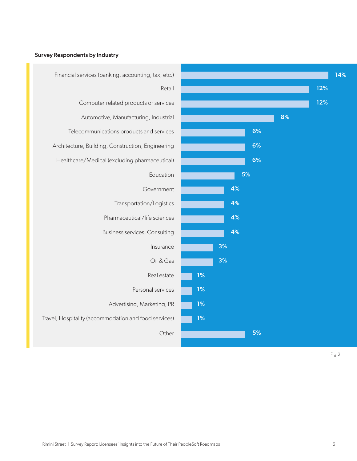### Financial services (banking, accounting, tax, etc.) Retail 14% 12% Computer-related products or services 12% Automotive, Manufacturing, Industrial **8%** and 8% Telecommunications products and services **Figure 10 and 10 and 10 and 10 and 10 and 10 and 10 and 10 and 10 and 10** Other **Contract of the Second Second Second Second Second Second Second Second Second Second Second Second Second Second Second Second Second Second Second Second Second Second Second Second Second Second Second Second Sec** Architecture, Building, Construction, Engineering **CONSTRESS 1988** 6% Healthcare/Medical (excluding pharmaceutical) **Figure 10 SM** 6% Education **6 and 5%** Government **Government** 4% Transportation/Logistics **Transportation** 12% Pharmaceutical/life sciences **Figure 2018** Business services, Consulting **Consulting 4%** Insurance 3% Oil & Gas **3%** Real estate Personal services **1%** 1% Advertising, Marketing, PR 1% Travel, Hospitality (accommodation and food services) **1%**

#### Survey Respondents by Industry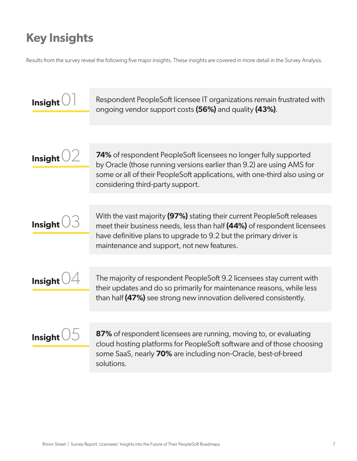### <span id="page-6-0"></span>**Key Insights**

Results from the survey reveal the following five major insights. These insights are covered in more detail in the Survey Analysis.

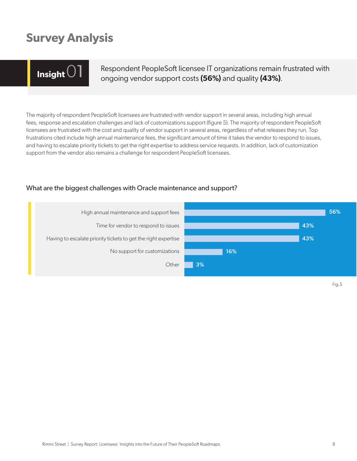### <span id="page-7-0"></span>**Survey Analysis**

**Insight O1** Respondent PeopleSoft licensee IT organizations remain frustrated with ongoing vendor support costs (56%) and quality (43%).

The majority of respondent PeopleSoft licensees are frustrated with vendor support in several areas, including high annual fees, response and escalation challenges and lack of customizations support (figure 5). The majority of respondent PeopleSoft licensees are frustrated with the cost and quality of vendor support in several areas, regardless of what releases they run. Top frustrations cited include high annual maintenance fees, the significant amount of time it takes the vendor to respond to issues, and having to escalate priority tickets to get the right expertise to address service requests. In addition, lack of customization support from the vendor also remains a challenge for respondent PeopleSoft licensees.

#### What are the biggest challenges with Oracle maintenance and support?

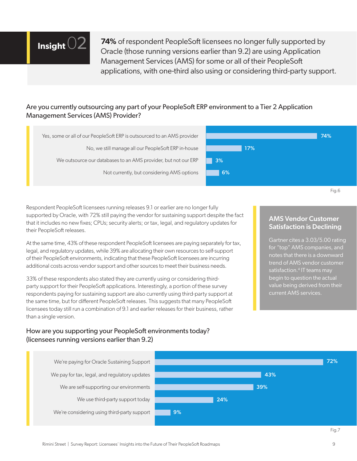

**74%** of respondent PeopleSoft licensees no longer fully supported by Oracle (those running versions earlier than 9.2) are using Application Management Services (AMS) for some or all of their PeopleSoft applications, with one-third also using or considering third-party support.

#### Are you currently outsourcing any part of your PeopleSoft ERP environment to a Tier 2 Application Management Services (AMS) Provider?



Respondent PeopleSoft licensees running releases 9.1 or earlier are no longer fully supported by Oracle, with 72% still paying the vendor for sustaining support despite the fact that it includes no new fixes; CPUs; security alerts; or tax, legal, and regulatory updates for their PeopleSoft releases.

At the same time, 43% of these respondent PeopleSoft licensees are paying separately for tax, legal, and regulatory updates, while 39% are allocating their own resources to self-support of their PeopleSoft environments, indicating that these PeopleSoft licensees are incurring additional costs across vendor support and other sources to meet their business needs.

33% of these respondents also stated they are currently using or considering thirdparty support for their PeopleSoft applications. Interestingly, a portion of these survey respondents paying for sustaining support are also currently using third-party support at the same time, but for different PeopleSoft releases. This suggests that many PeopleSoft licensees today still run a combination of 9.1 and earlier releases for their business, rather than a single version.

#### How are you supporting your PeopleSoft environments today? (licensees running versions earlier than 9.2)

#### AMS Vendor Customer Satisfaction is Declining

Fig.6

Gartner cites a 3.03/5.00 rating for "top" AMS companies, and notes that there is a downward trend of AMS vendor customer satisfaction.<sup>4</sup> IT teams may begin to question the actual value being derived from their current AMS services.

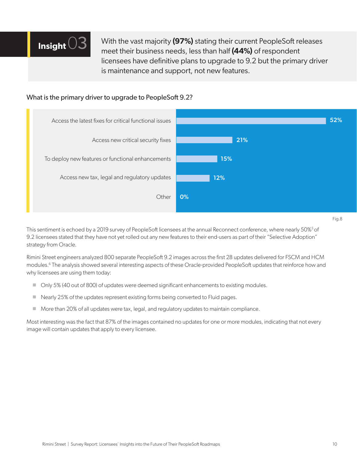

With the vast majority **(97%)** stating their current PeopleSoft releases meet their business needs, less than half **(44%)** of respondent licensees have definitive plans to upgrade to 9.2 but the primary driver is maintenance and support, not new features.

#### What is the primary driver to upgrade to PeopleSoft 9.2?



This sentiment is echoed by a 2019 survey of PeopleSoft licensees at the annual Reconnect conference, where nearly 50%<sup>5</sup> of 9.2 licensees stated that they have not yet rolled out any new features to their end-users as part of their "Selective Adoption" strategy from Oracle.

Rimini Street engineers analyzed 800 separate PeopleSoft 9.2 images across the first 28 updates delivered for FSCM and HCM modules.6 The analysis showed several interesting aspects of these Oracle-provided PeopleSoft updates that reinforce how and why licensees are using them today:

- Only 5% (40 out of 800) of updates were deemed significant enhancements to existing modules.
- Nearly 25% of the updates represent existing forms being converted to Fluid pages.
- More than 20% of all updates were tax, legal, and regulatory updates to maintain compliance.

Most interesting was the fact that 87% of the images contained no updates for one or more modules, indicating that not every image will contain updates that apply to every licensee.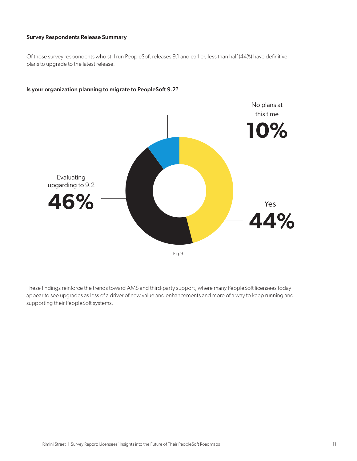#### Survey Respondents Release Summary

Of those survey respondents who still run PeopleSoft releases 9.1 and earlier, less than half (44%) have definitive plans to upgrade to the latest release.



#### Is your organization planning to migrate to PeopleSoft 9.2?

These findings reinforce the trends toward AMS and third-party support, where many PeopleSoft licensees today appear to see upgrades as less of a driver of new value and enhancements and more of a way to keep running and supporting their PeopleSoft systems.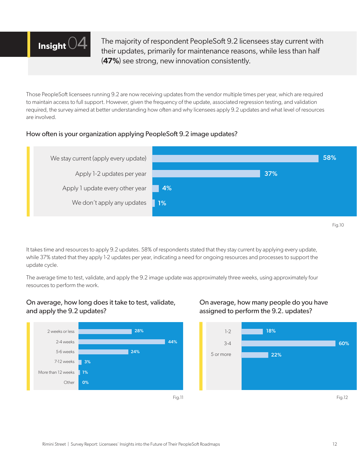

The majority of respondent PeopleSoft 9.2 licensees stay current with their updates, primarily for maintenance reasons, while less than half (**47%**) see strong, new innovation consistently.

Those PeopleSoft licensees running 9.2 are now receiving updates from the vendor multiple times per year, which are required to maintain access to full support. However, given the frequency of the update, associated regression testing, and validation required, the survey aimed at better understanding how often and why licensees apply 9.2 updates and what level of resources are involved.

#### How often is your organization applying PeopleSoft 9.2 image updates?



It takes time and resources to apply 9.2 updates. 58% of respondents stated that they stay current by applying every update, while 37% stated that they apply 1-2 updates per year, indicating a need for ongoing resources and processes to support the update cycle.

The average time to test, validate, and apply the 9.2 image update was approximately three weeks, using approximately four resources to perform the work.

#### On average, how long does it take to test, validate, and apply the 9.2 updates?



#### On average, how many people do you have assigned to perform the 9.2. updates?

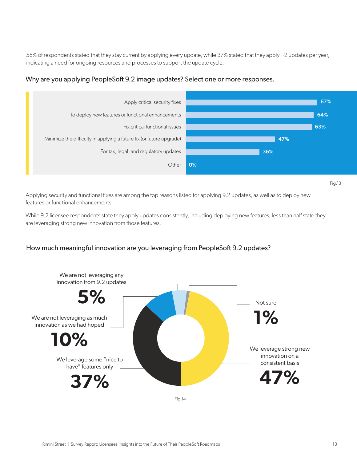58% of respondents stated that they stay current by applying every update, while 37% stated that they apply 1-2 updates per year, indicating a need for ongoing resources and processes to support the update cycle.

#### Why are you applying PeopleSoft 9.2 image updates? Select one or more responses.



Fig.13

Applying security and functional fixes are among the top reasons listed for applying 9.2 updates, as well as to deploy new features or functional enhancements.

While 9.2 licensee respondents state they apply updates consistently, including deploying new features, less than half state they are leveraging strong new innovation from those features.

#### How much meaningful innovation are you leveraging from PeopleSoft 9.2 updates?

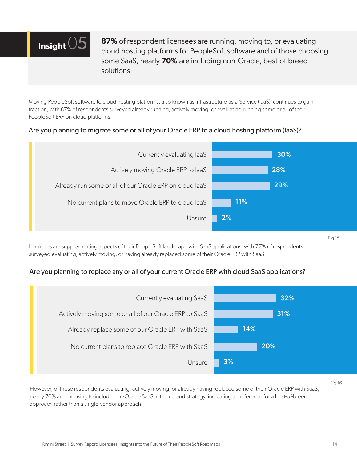

**87%** of respondent licensees are running, moving to, or evaluating cloud hosting platforms for PeopleSoft software and of those choosing some SaaS, nearly **70%** are including non-Oracle, best-of-breed solutions.

Moving PeopleSoft software to cloud hosting platforms, also known as Infrastructure-as-a-Service (IaaS), continues to gain traction, with 87% of respondents surveyed already running, actively moving, or evaluating running some or all of their PeopleSoft ERP on cloud platforms.

#### Are you planning to migrate some or all of your Oracle ERP to a cloud hosting platform (IaaS)?



Fig.15

Licensees are supplementing aspects of their PeopleSoft landscape with SaaS applications, with 77% of respondents surveyed evaluating, actively moving, or having already replaced some of their Oracle ERP with SaaS.

#### Are you planning to replace any or all of your current Oracle ERP with cloud SaaS applications?



Fig.16

However, of those respondents evaluating, actively moving, or already having replaced some of their Oracle ERP with SaaS, nearly 70% are choosing to include non-Oracle SaaS in their cloud strategy, indicating a preference for a best-of-breed approach rather than a single-vendor approach.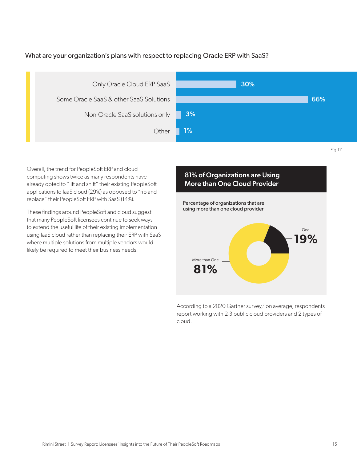#### What are your organization's plans with respect to replacing Oracle ERP with SaaS?



Overall, the trend for PeopleSoft ERP and cloud computing shows twice as many respondents have already opted to "lift and shift" their existing PeopleSoft applications to IaaS cloud (29%) as opposed to "rip and replace" their PeopleSoft ERP with SaaS (14%).

These findings around PeopleSoft and cloud suggest that many PeopleSoft licensees continue to seek ways to extend the useful life of their existing implementation using IaaS cloud rather than replacing their ERP with SaaS where multiple solutions from multiple vendors would likely be required to meet their business needs.

# Percentage of organizations that are using more than one cloud provider 81% of Organizations are Using More than One Cloud Provider More than One **81% One 81999 19%** 6

According to a 2020 Gartner survey,<sup>7</sup> on average, respondents report working with 2-3 public cloud providers and 2 types of cloud.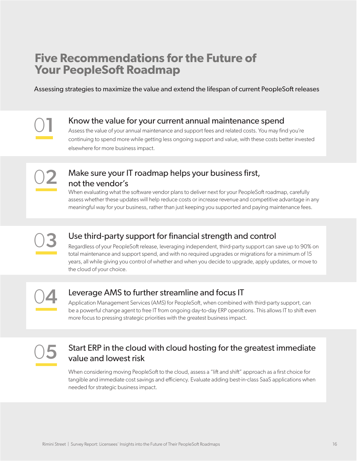### <span id="page-15-0"></span>**Five Recommendations for the Future of Your PeopleSoft Roadmap**

Assessing strategies to maximize the value and extend the lifespan of current PeopleSoft releases

01

### Know the value for your current annual maintenance spend

Assess the value of your annual maintenance and support fees and related costs. You may find you're continuing to spend more while getting less ongoing support and value, with these costs better invested elsewhere for more business impact.



### Make sure your IT roadmap helps your business first, not the vendor's

When evaluating what the software vendor plans to deliver next for your PeopleSoft roadmap, carefully assess whether these updates will help reduce costs or increase revenue and competitive advantage in any meaningful way for your business, rather than just keeping you supported and paying maintenance fees.



### Use third-party support for financial strength and control

Regardless of your PeopleSoft release, leveraging independent, third-party support can save up to 90% on total maintenance and support spend, and with no required upgrades or migrations for a minimum of 15 years, all while giving you control of whether and when you decide to upgrade, apply updates, or move to the cloud of your choice.

04

### Leverage AMS to further streamline and focus IT

Application Management Services (AMS) for PeopleSoft, when combined with third-party support, can be a powerful change agent to free IT from ongoing day-to-day ERP operations. This allows IT to shift even more focus to pressing strategic priorities with the greatest business impact.



### Start ERP in the cloud with cloud hosting for the greatest immediate value and lowest risk

When considering moving PeopleSoft to the cloud, assess a "lift and shift" approach as a first choice for tangible and immediate cost savings and efficiency. Evaluate adding best-in-class SaaS applications when needed for strategic business impact.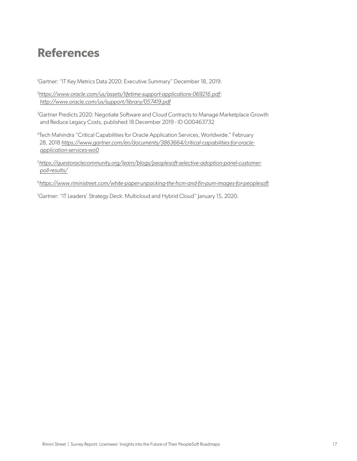### <span id="page-16-0"></span>**References**

<sup>1</sup>Gartner: "IT Key Metrics Data 2020: Executive Summary" December 18, 2019.

2 *<https://www.oracle.com/us/assets/lifetime-support-applications-069216.pdf>*; *<http://www.oracle.com/us/support/library/057419.pdf>*

<sup>3</sup>Gartner Predicts 2020: Negotiate Software and Cloud Contracts to Manage Marketplace Growth and Reduce Legacy Costs, published 18 December 2019 - ID G00463732

4 Tech Mahindra "Critical Capabilities for Oracle Application Services, Worldwide." February 28, 2018 *[https://www.gartner.com/en/documents/3863664/critical-capabilities-for-oracle](https://www.gartner.com/en/documents/3863664/critical-capabilities-for-oracle-application-services-wo0)[application-services-wo0](https://www.gartner.com/en/documents/3863664/critical-capabilities-for-oracle-application-services-wo0)*

5*[https://questoraclecommunity.org/learn/blogs/peoplesoft-selective-adoption-panel-customer](https://questoraclecommunity.org/learn/blogs/peoplesoft-selective-adoption-panel-customer-poll-results/)[poll-results/](https://questoraclecommunity.org/learn/blogs/peoplesoft-selective-adoption-panel-customer-poll-results/)*

<sup>6</sup>*<https://www.riministreet.com/white-paper-unpacking-the-hcm-and-fin-pum-images-for-peoplesoft>*

<sup>7</sup>Gartner: "IT Leaders' Strategy Deck: Multicloud and Hybrid Cloud" January 15, 2020.